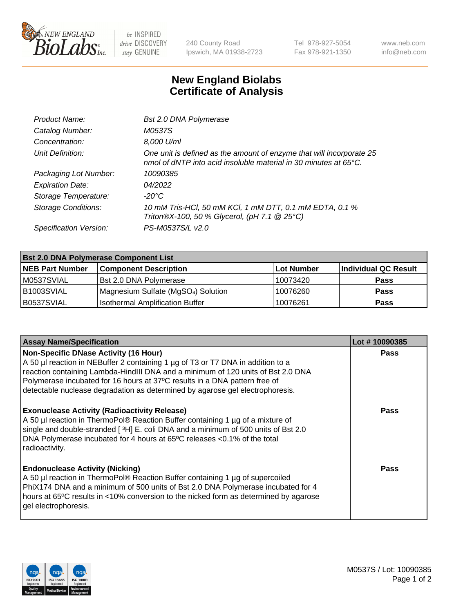

 $be$  INSPIRED drive DISCOVERY stay GENUINE

240 County Road Ipswich, MA 01938-2723 Tel 978-927-5054 Fax 978-921-1350 www.neb.com info@neb.com

## **New England Biolabs Certificate of Analysis**

| Product Name:              | Bst 2.0 DNA Polymerase                                                                                                                   |
|----------------------------|------------------------------------------------------------------------------------------------------------------------------------------|
| Catalog Number:            | M0537S                                                                                                                                   |
| Concentration:             | 8,000 U/ml                                                                                                                               |
| Unit Definition:           | One unit is defined as the amount of enzyme that will incorporate 25<br>nmol of dNTP into acid insoluble material in 30 minutes at 65°C. |
| Packaging Lot Number:      | 10090385                                                                                                                                 |
| <b>Expiration Date:</b>    | 04/2022                                                                                                                                  |
| Storage Temperature:       | -20°C                                                                                                                                    |
| <b>Storage Conditions:</b> | 10 mM Tris-HCl, 50 mM KCl, 1 mM DTT, 0.1 mM EDTA, 0.1 %<br>Triton®X-100, 50 % Glycerol, (pH 7.1 @ 25°C)                                  |
| Specification Version:     | PS-M0537S/L v2.0                                                                                                                         |

| <b>Bst 2.0 DNA Polymerase Component List</b> |                                                 |            |                      |  |  |
|----------------------------------------------|-------------------------------------------------|------------|----------------------|--|--|
| <b>NEB Part Number</b>                       | <b>Component Description</b>                    | Lot Number | Individual QC Result |  |  |
| M0537SVIAL                                   | <b>Bst 2.0 DNA Polymerase</b>                   | 10073420   | <b>Pass</b>          |  |  |
| B1003SVIAL                                   | Magnesium Sulfate (MgSO <sub>4</sub> ) Solution | 10076260   | <b>Pass</b>          |  |  |
| B0537SVIAL                                   | <b>Isothermal Amplification Buffer</b>          | 10076261   | <b>Pass</b>          |  |  |

| <b>Assay Name/Specification</b>                                                                                                                                                                                                                                                                                                                                                    | Lot #10090385 |
|------------------------------------------------------------------------------------------------------------------------------------------------------------------------------------------------------------------------------------------------------------------------------------------------------------------------------------------------------------------------------------|---------------|
| <b>Non-Specific DNase Activity (16 Hour)</b><br>A 50 µl reaction in NEBuffer 2 containing 1 µg of T3 or T7 DNA in addition to a<br>reaction containing Lambda-HindIII DNA and a minimum of 120 units of Bst 2.0 DNA<br>Polymerase incubated for 16 hours at 37°C results in a DNA pattern free of<br>detectable nuclease degradation as determined by agarose gel electrophoresis. | <b>Pass</b>   |
| <b>Exonuclease Activity (Radioactivity Release)</b><br>A 50 µl reaction in ThermoPol® Reaction Buffer containing 1 µg of a mixture of<br>single and double-stranded [3H] E. coli DNA and a minimum of 500 units of Bst 2.0<br>DNA Polymerase incubated for 4 hours at 65°C releases <0.1% of the total<br>radioactivity.                                                           | Pass          |
| <b>Endonuclease Activity (Nicking)</b><br>A 50 µl reaction in ThermoPol® Reaction Buffer containing 1 µg of supercoiled<br>PhiX174 DNA and a minimum of 500 units of Bst 2.0 DNA Polymerase incubated for 4<br>hours at 65°C results in <10% conversion to the nicked form as determined by agarose<br>gel electrophoresis.                                                        | Pass          |